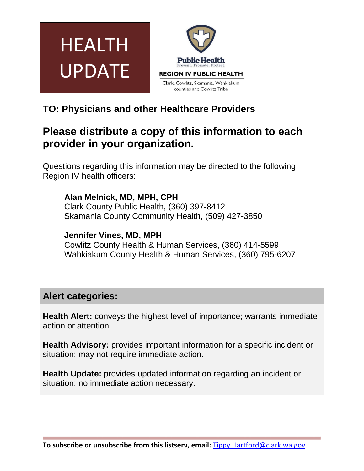



# **TO: Physicians and other Healthcare Providers**

# **Please distribute a copy of this information to each provider in your organization.**

Questions regarding this information may be directed to the following Region IV health officers:

**Alan Melnick, MD, MPH, CPH**

Clark County Public Health, (360) 397-8412 Skamania County Community Health, (509) 427-3850

### **Jennifer Vines, MD, MPH**

Cowlitz County Health & Human Services, (360) 414-5599 Wahkiakum County Health & Human Services, (360) 795-6207

## **Alert categories:**

**Health Alert:** conveys the highest level of importance; warrants immediate action or attention.

**Health Advisory:** provides important information for a specific incident or situation; may not require immediate action.

**Health Update:** provides updated information regarding an incident or situation; no immediate action necessary.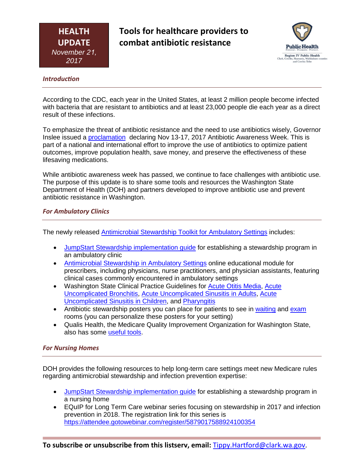**Tools for healthcare providers to combat antibiotic resistance**



#### *Introduction*

According to the CDC, each year in the United States, at least 2 million people become infected with bacteria that are resistant to antibiotics and at least 23,000 people die each year as a direct result of these infections.

To emphasize the threat of antibiotic resistance and the need to use antibiotics wisely, Governor Inslee issued a **proclamation** declaring Nov 13-17, 2017 Antibiotic Awareness Week. This is part of a national and international effort to improve the use of antibiotics to optimize patient outcomes, improve population health, save money, and preserve the effectiveness of these lifesaving medications.

While antibiotic awareness week has passed, we continue to face challenges with antibiotic use. The purpose of this update is to share some tools and resources the Washington State Department of Health (DOH) and partners developed to improve antibiotic use and prevent antibiotic resistance in Washington.

#### *For Ambulatory Clinics*

The newly released [Antimicrobial Stewardship Toolkit for Ambulatory Settings](https://www.doh.wa.gov/YouandYourFamily/IllnessandDisease/HealthcareAssociatedInfections/EQuIP/AmbulatoryCare) includes:

- [JumpStart Stewardship implementation guide](https://www.doh.wa.gov/Portals/1/Documents/5000/JumpStartStewardshipAmbulatorySettings.pdf) for establishing a stewardship program in an ambulatory clinic
- [Antimicrobial Stewardship in Ambulatory Settings](http://dohmedia.doh.wa.gov/doh/ams/story_flash.html) online educational module for prescribers, including physicians, nurse practitioners, and physician assistants, featuring clinical cases commonly encountered in ambulatory settings
- Washington State Clinical Practice Guidelines for [Acute Otitis Media,](https://www.doh.wa.gov/Portals/1/Documents/Pubs/420-197-WAOtitisMediaClinicalGuideline.pdf) [Acute](https://www.doh.wa.gov/Portals/1/Documents/Pubs/420-196-WAAdultBronchitisClinicalGuideline.pdf) [Uncomplicated Bronchitis,](https://www.doh.wa.gov/Portals/1/Documents/Pubs/420-196-WAAdultBronchitisClinicalGuideline.pdf) [Acute Uncomplicated Sinusitis in Adults,](https://www.doh.wa.gov/Portals/1/Documents/Pubs/420-194-WAAdultSinusitisClinicalGuideline.pdf) [Acute](https://www.doh.wa.gov/Portals/1/Documents/Pubs/420-195-WAPediatricSinusitisClinicalGuidelines.pdf) [Uncomplicated Sinusitis in Children,](https://www.doh.wa.gov/Portals/1/Documents/Pubs/420-195-WAPediatricSinusitisClinicalGuidelines.pdf) and [Pharyngitis](https://www.doh.wa.gov/Portals/1/Documents/Pubs/420-198-WAPharyngitisClinicalGuideline.pdf)
- Antibiotic stewardship posters you can place for patients to see in [waiting](https://www.doh.wa.gov/Portals/1/Documents/5000/420-206-LeadershipCommitmentToStewardshipPosterTemplate.pptx) and [exam](https://www.doh.wa.gov/Portals/1/Documents/5000/420-204-ProviderCommitmentToStewardshipPosterCustom.pptx) rooms (you can personalize these posters for your setting)
- Qualis Health, the Medicare Quality Improvement Organization for Washington State, also has some [useful tools.](http://medicare.qualishealth.org/projects/AMS-in-Outpatient-Settings)

#### *For Nursing Homes*

DOH provides the following resources to help long-term care settings meet new Medicare rules regarding antimicrobial stewardship and infection prevention expertise:

- [JumpStart Stewardship implementation guide](https://www.doh.wa.gov/Portals/1/Documents/5000/420-Non-DOH-JumpStartStewardshipNursingHomes.pdf) for establishing a stewardship program in a nursing home
- EQuIP for Long Term Care webinar series focusing on stewardship in 2017 and infection prevention in 2018. The registration link for this series is <https://attendee.gotowebinar.com/register/5879017588924100354>